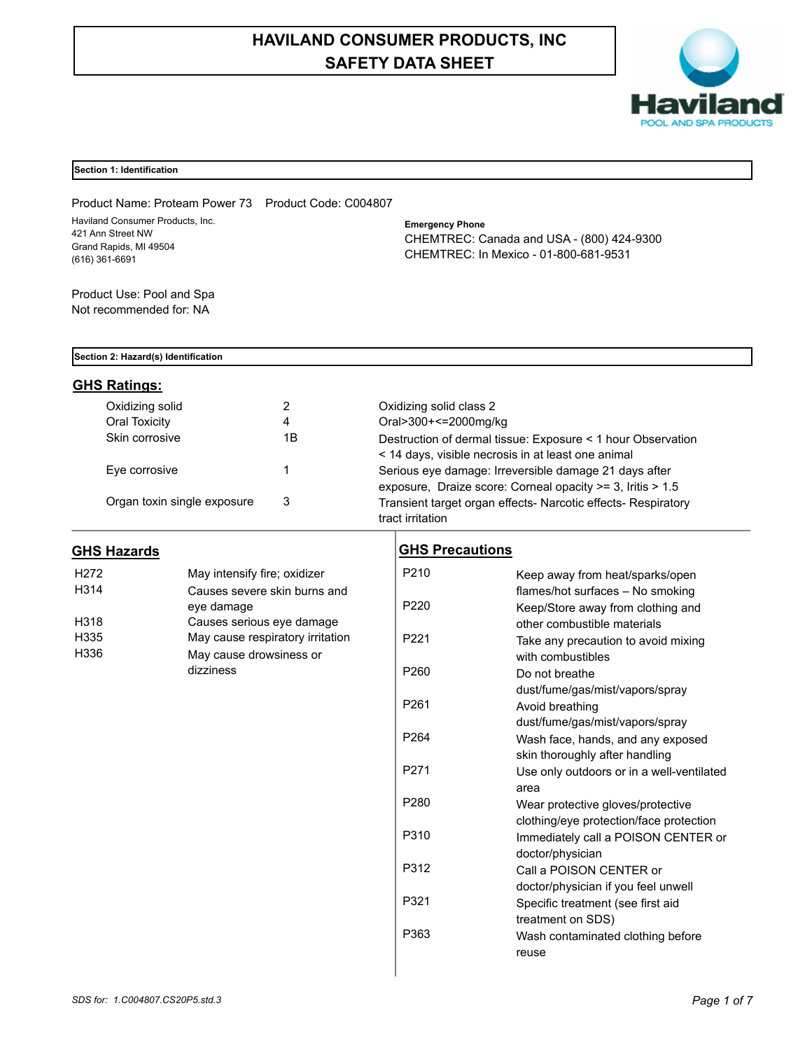# **HAVILAND CONSUMER PRODUCTS, INC SAFETY DATA SHEET**



# **Section 1: Identification**

Product Name: Proteam Power 73 Product Code: C004807 Haviland Consumer Products, Inc. 421 Ann Street NW Grand Rapids, MI 49504 (616) 361-6691

# **Emergency Phone** CHEMTREC: Canada and USA - (800) 424-9300 CHEMTREC: In Mexico - 01-800-681-9531

Product Use: Pool and Spa Not recommended for: NA

#### **Section 2: Hazard(s) Identification**

# **GHS Ratings:**

| Oxidizing solid             |    | Oxidizing solid class 2                                       |
|-----------------------------|----|---------------------------------------------------------------|
| Oral Toxicity               | 4  | Oral>300+<=2000mg/kg                                          |
| Skin corrosive              | 1Β | Destruction of dermal tissue: Exposure < 1 hour Observation   |
|                             |    | < 14 days, visible necrosis in at least one animal            |
| Eye corrosive               |    | Serious eye damage: Irreversible damage 21 days after         |
|                             |    | exposure, Draize score: Corneal opacity >= 3, Iritis > 1.5    |
| Organ toxin single exposure | 3  | Transient target organ effects- Narcotic effects- Respiratory |
|                             |    | tract irritation                                              |

# **GHS Hazards**

| H <sub>272</sub> | May intensify fire; oxidizer     |  |
|------------------|----------------------------------|--|
| H314             | Causes severe skin burns and     |  |
|                  | eye damage                       |  |
| H318             | Causes serious eye damage        |  |
| H335             | May cause respiratory irritation |  |
| H336             | May cause drowsiness or          |  |
|                  | dizziness                        |  |

# **GHS Precautions**

| P <sub>210</sub> | Keep away from heat/sparks/open           |
|------------------|-------------------------------------------|
|                  | flames/hot surfaces - No smoking          |
| P <sub>220</sub> | Keep/Store away from clothing and         |
|                  | other combustible materials               |
| P <sub>221</sub> | Take any precaution to avoid mixing       |
|                  | with combustibles                         |
| P <sub>260</sub> | Do not breathe                            |
|                  | dust/fume/gas/mist/vapors/spray           |
| P <sub>261</sub> | Avoid breathing                           |
|                  | dust/fume/gas/mist/vapors/spray           |
| P <sub>264</sub> | Wash face, hands, and any exposed         |
|                  | skin thoroughly after handling            |
| P <sub>271</sub> | Use only outdoors or in a well-ventilated |
|                  | area                                      |
| P <sub>280</sub> | Wear protective gloves/protective         |
|                  | clothing/eye protection/face protection   |
| P310             | Immediately call a POISON CENTER or       |
|                  | doctor/physician                          |
| P312             | Call a POISON CENTER or                   |
|                  | doctor/physician if you feel unwell       |
| P321             | Specific treatment (see first aid         |
|                  | treatment on SDS)                         |
| P363             | Wash contaminated clothing before         |
|                  | reuse                                     |
|                  |                                           |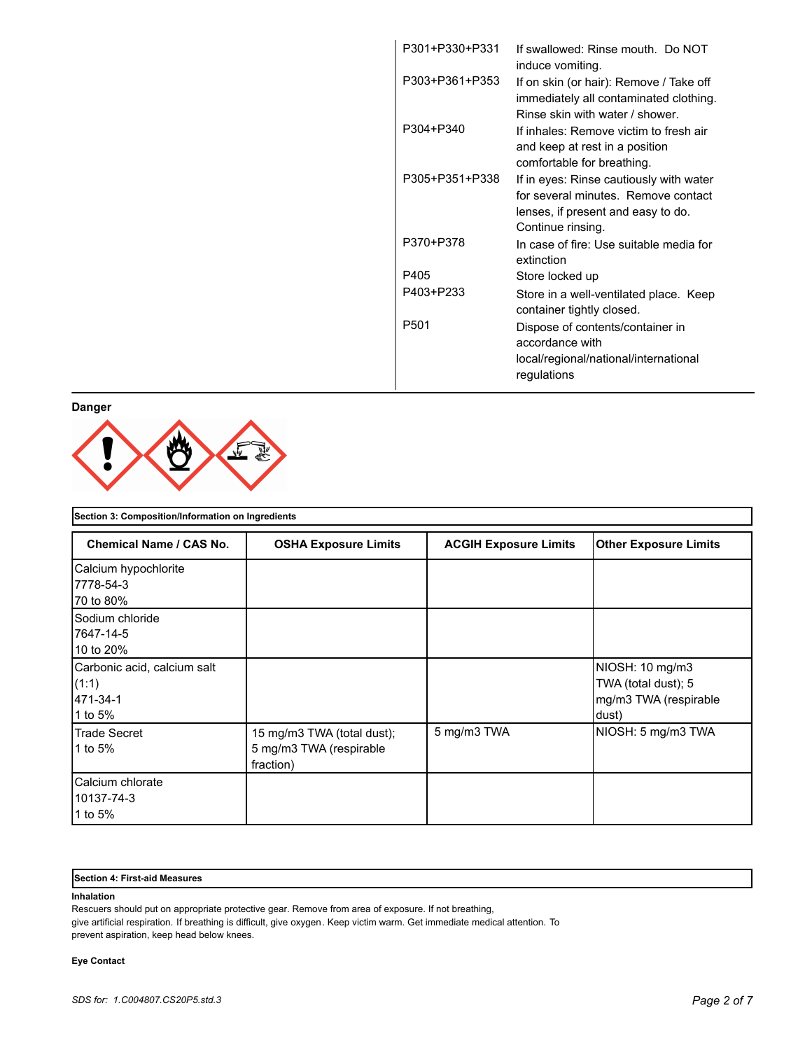| P301+P330+P331 | If swallowed: Rinse mouth. Do NOT<br>induce vomiting.                                                                                     |
|----------------|-------------------------------------------------------------------------------------------------------------------------------------------|
| P303+P361+P353 | If on skin (or hair): Remove / Take off<br>immediately all contaminated clothing.<br>Rinse skin with water / shower.                      |
| P304+P340      | If inhales: Remove victim to fresh air<br>and keep at rest in a position<br>comfortable for breathing.                                    |
| P305+P351+P338 | If in eyes: Rinse cautiously with water<br>for several minutes. Remove contact<br>lenses, if present and easy to do.<br>Continue rinsing. |
| P370+P378      | In case of fire: Use suitable media for<br>extinction                                                                                     |
| P405           | Store locked up                                                                                                                           |
| P403+P233      | Store in a well-ventilated place. Keep<br>container tightly closed.                                                                       |
| P501           | Dispose of contents/container in<br>accordance with<br>local/regional/national/international<br>regulations                               |

**Danger**



| Section 3: Composition/Information on Ingredients           |                                                                    |                              |                                                                          |
|-------------------------------------------------------------|--------------------------------------------------------------------|------------------------------|--------------------------------------------------------------------------|
| <b>Chemical Name / CAS No.</b>                              | <b>OSHA Exposure Limits</b>                                        | <b>ACGIH Exposure Limits</b> | <b>Other Exposure Limits</b>                                             |
| Calcium hypochlorite<br>7778-54-3                           |                                                                    |                              |                                                                          |
| 70 to 80%                                                   |                                                                    |                              |                                                                          |
| lSodium chloride<br>7647-14-5<br>10 to 20%                  |                                                                    |                              |                                                                          |
| Carbonic acid, calcium salt<br>(1:1)<br>471-34-1<br>1 to 5% |                                                                    |                              | NIOSH: 10 mg/m3<br>TWA (total dust); 5<br>mg/m3 TWA (respirable<br>dust) |
| Trade Secret<br>1 to 5%                                     | 15 mg/m3 TWA (total dust);<br>5 mg/m3 TWA (respirable<br>fraction) | 5 mg/m3 TWA                  | NIOSH: 5 mg/m3 TWA                                                       |
| lCalcium chlorate<br>10137-74-3<br>1 to 5%                  |                                                                    |                              |                                                                          |

#### **Section 4: First-aid Measures**

### **Inhalation**

Rescuers should put on appropriate protective gear. Remove from area of exposure. If not breathing, give artificial respiration. If breathing is difficult, give oxygen. Keep victim warm. Get immediate medical attention. To

prevent aspiration, keep head below knees.

# **Eye Contact**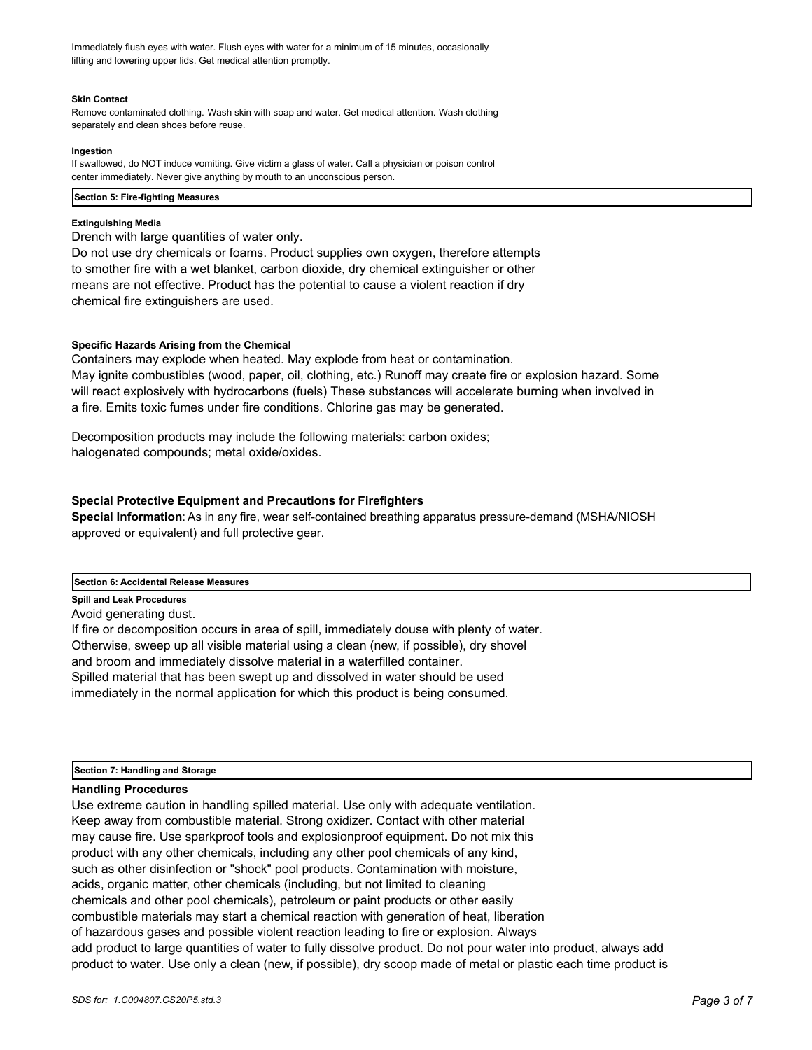Immediately flush eyes with water. Flush eyes with water for a minimum of 15 minutes, occasionally lifting and lowering upper lids. Get medical attention promptly.

#### **Skin Contact**

Remove contaminated clothing. Wash skin with soap and water. Get medical attention. Wash clothing separately and clean shoes before reuse.

#### **Ingestion**

If swallowed, do NOT induce vomiting. Give victim a glass of water. Call a physician or poison control center immediately. Never give anything by mouth to an unconscious person.

#### **Section 5: Fire-fighting Measures**

#### **Extinguishing Media**

Drench with large quantities of water only.

Do not use dry chemicals or foams. Product supplies own oxygen, therefore attempts to smother fire with a wet blanket, carbon dioxide, dry chemical extinguisher or other means are not effective. Product has the potential to cause a violent reaction if dry chemical fire extinguishers are used.

#### **Specific Hazards Arising from the Chemical**

Containers may explode when heated. May explode from heat or contamination. May ignite combustibles (wood, paper, oil, clothing, etc.) Runoff may create fire or explosion hazard. Some will react explosively with hydrocarbons (fuels) These substances will accelerate burning when involved in a fire. Emits toxic fumes under fire conditions. Chlorine gas may be generated.

Decomposition products may include the following materials: carbon oxides; halogenated compounds; metal oxide/oxides.

# **Special Protective Equipment and Precautions for Firefighters**

**Special Information**: As in any fire, wear self-contained breathing apparatus pressure-demand (MSHA/NIOSH approved or equivalent) and full protective gear.

# **Section 6: Accidental Release Measures**

**Spill and Leak Procedures**

Avoid generating dust.

If fire or decomposition occurs in area of spill, immediately douse with plenty of water. Otherwise, sweep up all visible material using a clean (new, if possible), dry shovel and broom and immediately dissolve material in a waterfilled container. Spilled material that has been swept up and dissolved in water should be used immediately in the normal application for which this product is being consumed.

**Section 7: Handling and Storage**

#### **Handling Procedures**

Use extreme caution in handling spilled material. Use only with adequate ventilation. Keep away from combustible material. Strong oxidizer. Contact with other material may cause fire. Use sparkproof tools and explosionproof equipment. Do not mix this product with any other chemicals, including any other pool chemicals of any kind, such as other disinfection or "shock" pool products. Contamination with moisture, acids, organic matter, other chemicals (including, but not limited to cleaning chemicals and other pool chemicals), petroleum or paint products or other easily combustible materials may start a chemical reaction with generation of heat, liberation of hazardous gases and possible violent reaction leading to fire or explosion. Always add product to large quantities of water to fully dissolve product. Do not pour water into product, always add product to water. Use only a clean (new, if possible), dry scoop made of metal or plastic each time product is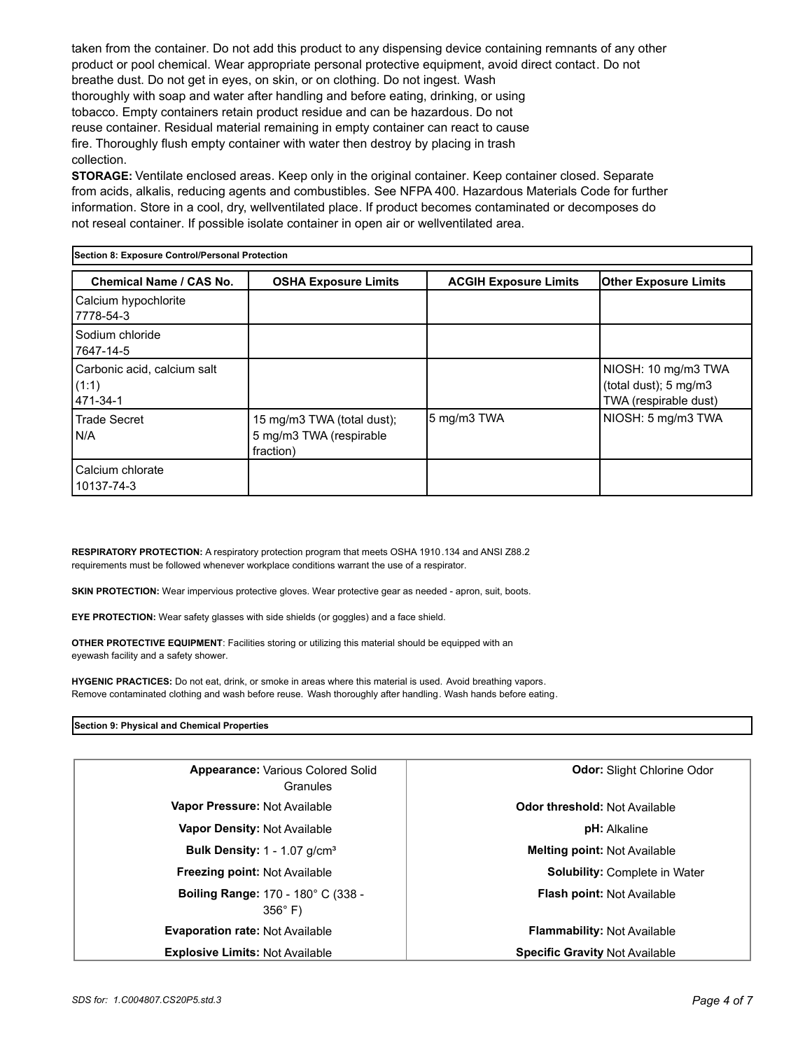taken from the container. Do not add this product to any dispensing device containing remnants of any other product or pool chemical. Wear appropriate personal protective equipment, avoid direct contact. Do not breathe dust. Do not get in eyes, on skin, or on clothing. Do not ingest. Wash thoroughly with soap and water after handling and before eating, drinking, or using tobacco. Empty containers retain product residue and can be hazardous. Do not reuse container. Residual material remaining in empty container can react to cause fire. Thoroughly flush empty container with water then destroy by placing in trash collection.

**STORAGE:** Ventilate enclosed areas. Keep only in the original container. Keep container closed. Separate from acids, alkalis, reducing agents and combustibles. See NFPA 400. Hazardous Materials Code for further information. Store in a cool, dry, wellventilated place. If product becomes contaminated or decomposes do not reseal container. If possible isolate container in open air or wellventilated area.

| Section 8: Exposure Control/Personal Protection  |                                                                    |                              |                                                                       |
|--------------------------------------------------|--------------------------------------------------------------------|------------------------------|-----------------------------------------------------------------------|
| Chemical Name / CAS No.                          | <b>OSHA Exposure Limits</b>                                        | <b>ACGIH Exposure Limits</b> | <b>Other Exposure Limits</b>                                          |
| Calcium hypochlorite<br>7778-54-3                |                                                                    |                              |                                                                       |
| Sodium chloride<br>7647-14-5                     |                                                                    |                              |                                                                       |
| Carbonic acid, calcium salt<br>(1:1)<br>471-34-1 |                                                                    |                              | NIOSH: 10 mg/m3 TWA<br>(total dust); 5 mg/m3<br>TWA (respirable dust) |
| Trade Secret<br>IN/A                             | 15 mg/m3 TWA (total dust);<br>5 mg/m3 TWA (respirable<br>fraction) | 5 mg/m3 TWA                  | NIOSH: 5 mg/m3 TWA                                                    |
| Calcium chlorate<br>10137-74-3                   |                                                                    |                              |                                                                       |

**RESPIRATORY PROTECTION:** A respiratory protection program that meets OSHA 1910.134 and ANSI Z88.2 requirements must be followed whenever workplace conditions warrant the use of a respirator.

**SKIN PROTECTION:** Wear impervious protective gloves. Wear protective gear as needed - apron, suit, boots.

**EYE PROTECTION:** Wear safety glasses with side shields (or goggles) and a face shield.

**OTHER PROTECTIVE EQUIPMENT**: Facilities storing or utilizing this material should be equipped with an eyewash facility and a safety shower.

**HYGENIC PRACTICES:** Do not eat, drink, or smoke in areas where this material is used. Avoid breathing vapors. Remove contaminated clothing and wash before reuse. Wash thoroughly after handling. Wash hands before eating.

# **Section 9: Physical and Chemical Properties**

| <b>Appearance: Various Colored Solid</b><br>Granules        | <b>Odor: Slight Chlorine Odor</b>     |
|-------------------------------------------------------------|---------------------------------------|
| Vapor Pressure: Not Available                               | <b>Odor threshold: Not Available</b>  |
| <b>Vapor Density: Not Available</b>                         | <b>pH:</b> Alkaline                   |
| <b>Bulk Density:</b> $1 - 1.07$ g/cm <sup>3</sup>           | <b>Melting point: Not Available</b>   |
| <b>Freezing point: Not Available</b>                        | Solubility: Complete in Water         |
| <b>Boiling Range: 170 - 180° C (338 -</b><br>$356^\circ$ F) | Flash point: Not Available            |
| <b>Evaporation rate: Not Available</b>                      | <b>Flammability: Not Available</b>    |
| <b>Explosive Limits: Not Available</b>                      | <b>Specific Gravity Not Available</b> |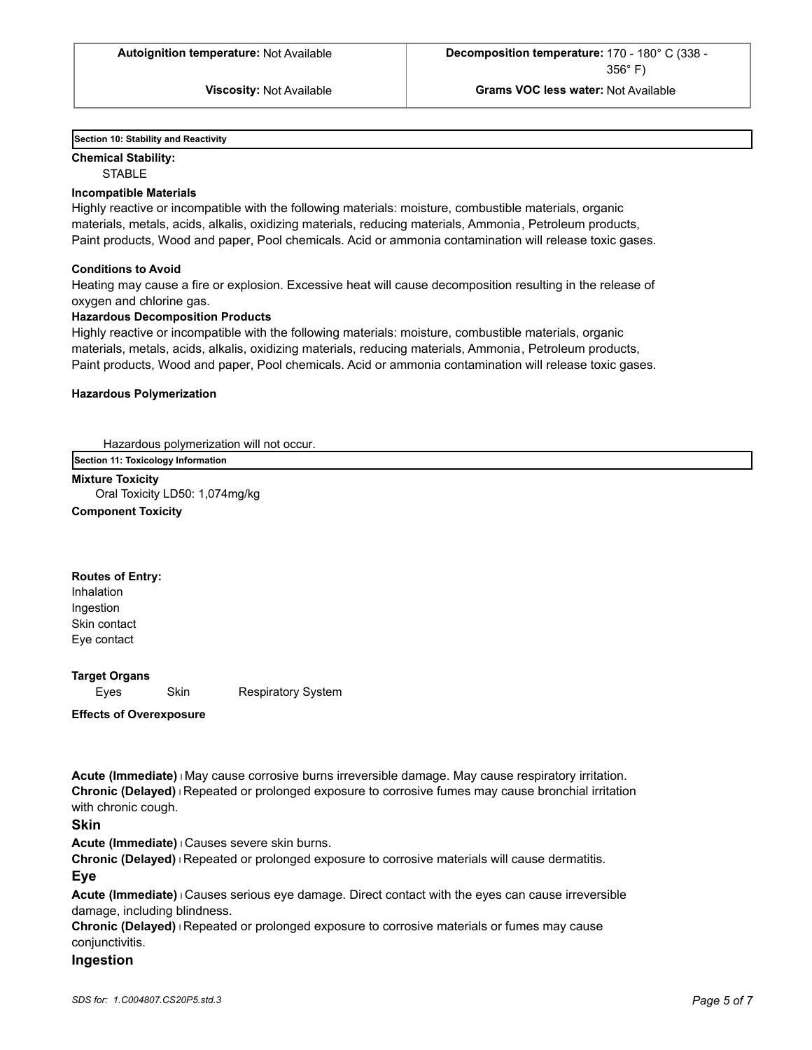**Section 10: Stability and Reactivity** 

**Chemical Stability: STABLE** 

# **Incompatible Materials**

Highly reactive or incompatible with the following materials: moisture, combustible materials, organic materials, metals, acids, alkalis, oxidizing materials, reducing materials, Ammonia, Petroleum products, Paint products, Wood and paper, Pool chemicals. Acid or ammonia contamination will release toxic gases.

#### **Conditions to Avoid**

Heating may cause a fire or explosion. Excessive heat will cause decomposition resulting in the release of oxygen and chlorine gas.

#### **Hazardous Decomposition Products**

Highly reactive or incompatible with the following materials: moisture, combustible materials, organic materials, metals, acids, alkalis, oxidizing materials, reducing materials, Ammonia, Petroleum products, Paint products, Wood and paper, Pool chemicals. Acid or ammonia contamination will release toxic gases.

#### **Hazardous Polymerization**

Hazardous polymerization will not occur.

**Section 11: Toxicology Information**

**Mixture Toxicity** Oral Toxicity LD50: 1,074mg/kg **Component Toxicity**

#### **Routes of Entry:**

Inhalation Ingestion Skin contact Eye contact

### **Target Organs**

Eyes Skin Respiratory System

**Effects of Overexposure**

**Acute (Immediate)** l May cause corrosive burns irreversible damage. May cause respiratory irritation. **Chronic (Delayed)** l Repeated or prolonged exposure to corrosive fumes may cause bronchial irritation with chronic cough.

# **Skin**

**Acute (Immediate)** l Causes severe skin burns.

**Chronic (Delayed)** l Repeated or prolonged exposure to corrosive materials will cause dermatitis.

# **Eye**

**Acute (Immediate)** l Causes serious eye damage. Direct contact with the eyes can cause irreversible damage, including blindness.

**Chronic (Delayed)** l Repeated or prolonged exposure to corrosive materials or fumes may cause conjunctivitis.

#### **Ingestion**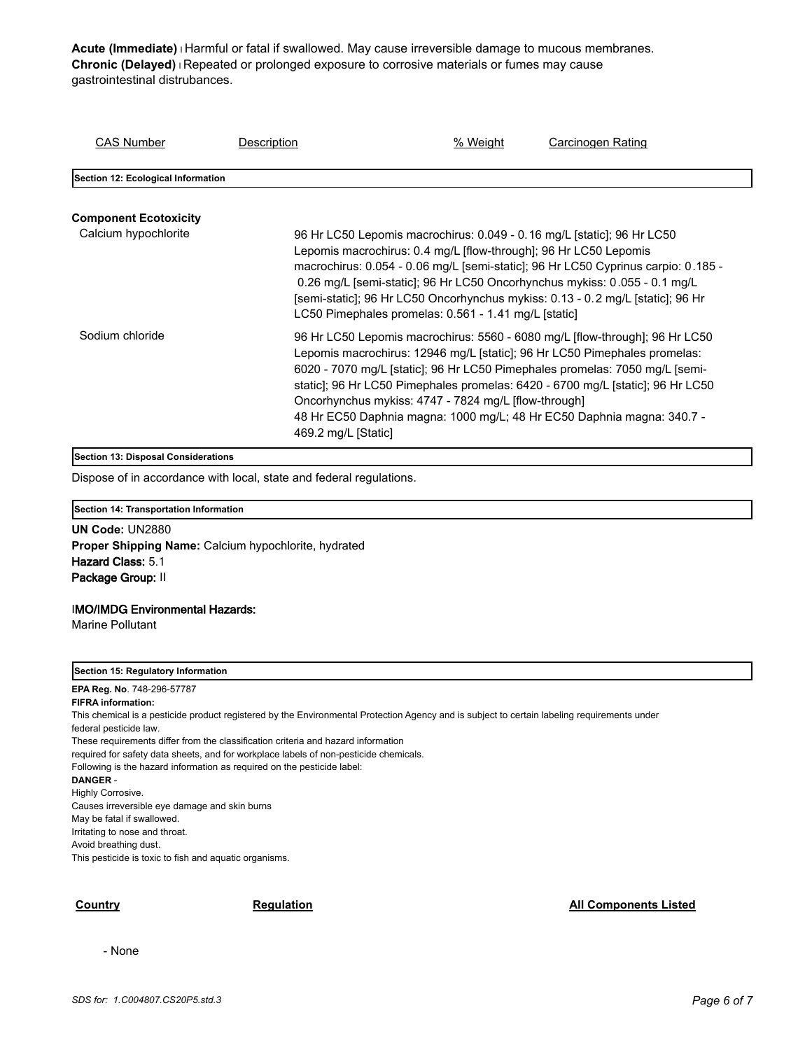**Acute (Immediate)** l Harmful or fatal if swallowed. May cause irreversible damage to mucous membranes. **Chronic (Delayed)** l Repeated or prolonged exposure to corrosive materials or fumes may cause gastrointestinal distrubances.

| <b>CAS Number</b>                  | Description         | % Weight                                                                                                                                                                                                                                                                                                                                                                                                                                                    | Carcinogen Rating |
|------------------------------------|---------------------|-------------------------------------------------------------------------------------------------------------------------------------------------------------------------------------------------------------------------------------------------------------------------------------------------------------------------------------------------------------------------------------------------------------------------------------------------------------|-------------------|
| Section 12: Ecological Information |                     |                                                                                                                                                                                                                                                                                                                                                                                                                                                             |                   |
| <b>Component Ecotoxicity</b>       |                     |                                                                                                                                                                                                                                                                                                                                                                                                                                                             |                   |
| Calcium hypochlorite               |                     | 96 Hr LC50 Lepomis macrochirus: 0.049 - 0.16 mg/L [static]; 96 Hr LC50<br>Lepomis macrochirus: 0.4 mg/L [flow-through]; 96 Hr LC50 Lepomis<br>macrochirus: 0.054 - 0.06 mg/L [semi-static]; 96 Hr LC50 Cyprinus carpio: 0.185 -<br>0.26 mg/L [semi-static]; 96 Hr LC50 Oncorhynchus mykiss: 0.055 - 0.1 mg/L<br>[semi-static]; 96 Hr LC50 Oncorhynchus mykiss: 0.13 - 0.2 mg/L [static]; 96 Hr<br>LC50 Pimephales promelas: 0.561 - 1.41 mg/L [static]      |                   |
| Sodium chloride                    | 469.2 mg/L [Static] | 96 Hr LC50 Lepomis macrochirus: 5560 - 6080 mg/L [flow-through]; 96 Hr LC50<br>Lepomis macrochirus: 12946 mg/L [static]; 96 Hr LC50 Pimephales promelas:<br>6020 - 7070 mg/L [static]; 96 Hr LC50 Pimephales promelas: 7050 mg/L [semi-<br>static]; 96 Hr LC50 Pimephales promelas: 6420 - 6700 mg/L [static]; 96 Hr LC50<br>Oncorhynchus mykiss: 4747 - 7824 mg/L [flow-through]<br>48 Hr EC50 Daphnia magna: 1000 mg/L; 48 Hr EC50 Daphnia magna: 340.7 - |                   |

# **Section 13: Disposal Considerations**

Dispose of in accordance with local, state and federal regulations.

# **Section 14: Transportation Information**

**UN Code:** UN2880 **Proper Shipping Name:** Calcium hypochlorite, hydrated Hazard Class: 5.1 Package Group: II

#### IMO/IMDG Environmental Hazards:

Marine Pollutant

#### **Section 15: Regulatory Information**

**EPA Reg. No**. 748-296-57787 **FIFRA information:** This chemical is a pesticide product registered by the Environmental Protection Agency and is subject to certain labeling requirements under federal pesticide law. These requirements differ from the classification criteria and hazard information required for safety data sheets, and for workplace labels of non-pesticide chemicals. Following is the hazard information as required on the pesticide label: **DANGER** - Highly Corrosive. Causes irreversible eye damage and skin burns May be fatal if swallowed. Irritating to nose and throat. Avoid breathing dust. This pesticide is toxic to fish and aquatic organisms.

# **Country Country Regulation Regulation Regulation All Components Listed**

- None